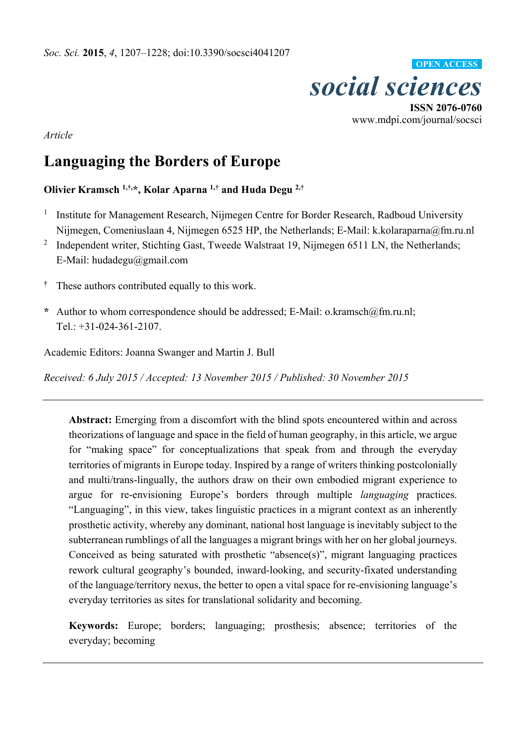

www.mdpi.com/journal/socsci

*Article* 

# **Languaging the Borders of Europe**

**Olivier Kramsch 1,†,\*, Kolar Aparna 1,† and Huda Degu 2,†** 

- 1 Institute for Management Research, Nijmegen Centre for Border Research, Radboud University Nijmegen, Comeniuslaan 4, Nijmegen 6525 HP, the Netherlands; E-Mail: k.kolaraparna@fm.ru.nl
- <sup>2</sup> Independent writer, Stichting Gast, Tweede Walstraat 19, Nijmegen 6511 LN, the Netherlands; E-Mail: hudadegu@gmail.com
- **†** These authors contributed equally to this work.
- **\*** Author to whom correspondence should be addressed; E-Mail: o.kramsch@fm.ru.nl; Tel.: +31-024-361-2107.

Academic Editors: Joanna Swanger and Martin J. Bull

*Received: 6 July 2015 / Accepted: 13 November 2015 / Published: 30 November 2015* 

**Abstract:** Emerging from a discomfort with the blind spots encountered within and across theorizations of language and space in the field of human geography, in this article, we argue for "making space" for conceptualizations that speak from and through the everyday territories of migrants in Europe today. Inspired by a range of writers thinking postcolonially and multi/trans-lingually, the authors draw on their own embodied migrant experience to argue for re-envisioning Europe's borders through multiple *languaging* practices. "Languaging", in this view, takes linguistic practices in a migrant context as an inherently prosthetic activity, whereby any dominant, national host language is inevitably subject to the subterranean rumblings of all the languages a migrant brings with her on her global journeys. Conceived as being saturated with prosthetic "absence(s)", migrant languaging practices rework cultural geography's bounded, inward-looking, and security-fixated understanding of the language/territory nexus, the better to open a vital space for re-envisioning language's everyday territories as sites for translational solidarity and becoming.

**Keywords:** Europe; borders; languaging; prosthesis; absence; territories of the everyday; becoming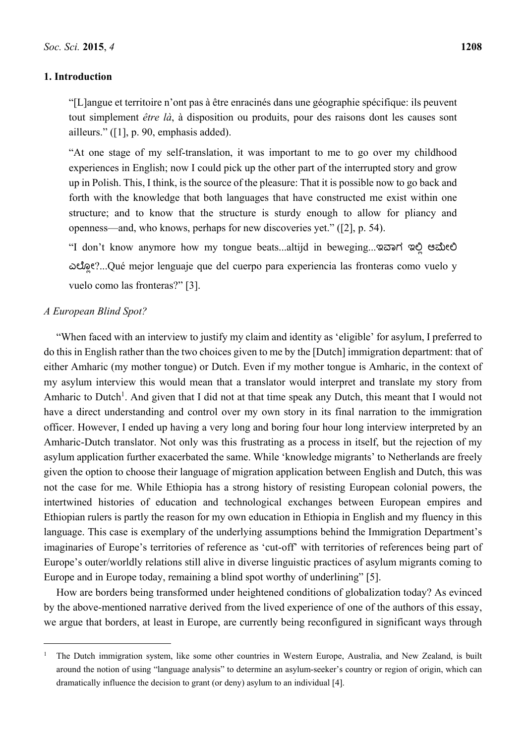## **1. Introduction**

"[L]angue et territoire n'ont pas à être enracinés dans une géographie spécifique: ils peuvent tout simplement *être là*, à disposition ou produits, pour des raisons dont les causes sont ailleurs." ([1], p. 90, emphasis added).

"At one stage of my self-translation, it was important to me to go over my childhood experiences in English; now I could pick up the other part of the interrupted story and grow up in Polish. This, I think, is the source of the pleasure: That it is possible now to go back and forth with the knowledge that both languages that have constructed me exist within one structure; and to know that the structure is sturdy enough to allow for pliancy and openness—and, who knows, perhaps for new discoveries yet." ([2], p. 54).

"I don't know anymore how my tongue beats...altijd in beweging...ಇವಾಗ ಇಲಿ ಆಮೇಲಿ ಎಲೊಲ್ೕ?...Qué mejor lenguaje que del cuerpo para experiencia las fronteras como vuelo y vuelo como las fronteras?" [3].

## *A European Blind Spot?*

 $\overline{a}$ 

"When faced with an interview to justify my claim and identity as 'eligible' for asylum, I preferred to do this in English rather than the two choices given to me by the [Dutch] immigration department: that of either Amharic (my mother tongue) or Dutch. Even if my mother tongue is Amharic, in the context of my asylum interview this would mean that a translator would interpret and translate my story from Amharic to Dutch<sup>1</sup>. And given that I did not at that time speak any Dutch, this meant that I would not have a direct understanding and control over my own story in its final narration to the immigration officer. However, I ended up having a very long and boring four hour long interview interpreted by an Amharic-Dutch translator. Not only was this frustrating as a process in itself, but the rejection of my asylum application further exacerbated the same. While 'knowledge migrants' to Netherlands are freely given the option to choose their language of migration application between English and Dutch, this was not the case for me. While Ethiopia has a strong history of resisting European colonial powers, the intertwined histories of education and technological exchanges between European empires and Ethiopian rulers is partly the reason for my own education in Ethiopia in English and my fluency in this language. This case is exemplary of the underlying assumptions behind the Immigration Department's imaginaries of Europe's territories of reference as 'cut-off' with territories of references being part of Europe's outer/worldly relations still alive in diverse linguistic practices of asylum migrants coming to Europe and in Europe today, remaining a blind spot worthy of underlining" [5].

How are borders being transformed under heightened conditions of globalization today? As evinced by the above-mentioned narrative derived from the lived experience of one of the authors of this essay, we argue that borders, at least in Europe, are currently being reconfigured in significant ways through

<sup>1</sup> The Dutch immigration system, like some other countries in Western Europe, Australia, and New Zealand, is built around the notion of using "language analysis" to determine an asylum-seeker's country or region of origin, which can dramatically influence the decision to grant (or deny) asylum to an individual [4].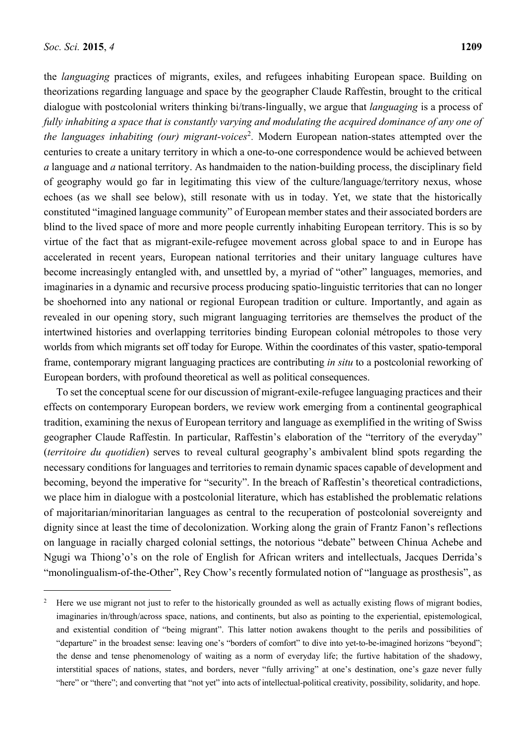the *languaging* practices of migrants, exiles, and refugees inhabiting European space. Building on theorizations regarding language and space by the geographer Claude Raffestin, brought to the critical dialogue with postcolonial writers thinking bi/trans-lingually, we argue that *languaging* is a process of *fully inhabiting a space that is constantly varying and modulating the acquired dominance of any one of the languages inhabiting (our) migrant-voices<sup>2</sup>.* Modern European nation-states attempted over the centuries to create a unitary territory in which a one-to-one correspondence would be achieved between *a* language and *a* national territory. As handmaiden to the nation-building process, the disciplinary field of geography would go far in legitimating this view of the culture/language/territory nexus, whose echoes (as we shall see below), still resonate with us in today. Yet, we state that the historically constituted "imagined language community" of European member states and their associated borders are blind to the lived space of more and more people currently inhabiting European territory. This is so by virtue of the fact that as migrant-exile-refugee movement across global space to and in Europe has accelerated in recent years, European national territories and their unitary language cultures have become increasingly entangled with, and unsettled by, a myriad of "other" languages, memories, and imaginaries in a dynamic and recursive process producing spatio-linguistic territories that can no longer be shoehorned into any national or regional European tradition or culture. Importantly, and again as revealed in our opening story, such migrant languaging territories are themselves the product of the intertwined histories and overlapping territories binding European colonial métropoles to those very worlds from which migrants set off today for Europe. Within the coordinates of this vaster, spatio-temporal frame, contemporary migrant languaging practices are contributing *in situ* to a postcolonial reworking of European borders, with profound theoretical as well as political consequences.

To set the conceptual scene for our discussion of migrant-exile-refugee languaging practices and their effects on contemporary European borders, we review work emerging from a continental geographical tradition, examining the nexus of European territory and language as exemplified in the writing of Swiss geographer Claude Raffestin. In particular, Raffestin's elaboration of the "territory of the everyday" (*territoire du quotidien*) serves to reveal cultural geography's ambivalent blind spots regarding the necessary conditions for languages and territories to remain dynamic spaces capable of development and becoming, beyond the imperative for "security". In the breach of Raffestin's theoretical contradictions, we place him in dialogue with a postcolonial literature, which has established the problematic relations of majoritarian/minoritarian languages as central to the recuperation of postcolonial sovereignty and dignity since at least the time of decolonization. Working along the grain of Frantz Fanon's reflections on language in racially charged colonial settings, the notorious "debate" between Chinua Achebe and Ngugi wa Thiong'o's on the role of English for African writers and intellectuals, Jacques Derrida's "monolingualism-of-the-Other", Rey Chow's recently formulated notion of "language as prosthesis", as

<sup>&</sup>lt;sup>2</sup> Here we use migrant not just to refer to the historically grounded as well as actually existing flows of migrant bodies, imaginaries in/through/across space, nations, and continents, but also as pointing to the experiential, epistemological, and existential condition of "being migrant". This latter notion awakens thought to the perils and possibilities of "departure" in the broadest sense: leaving one's "borders of comfort" to dive into yet-to-be-imagined horizons "beyond"; the dense and tense phenomenology of waiting as a norm of everyday life; the furtive habitation of the shadowy, interstitial spaces of nations, states, and borders, never "fully arriving" at one's destination, one's gaze never fully "here" or "there"; and converting that "not yet" into acts of intellectual-political creativity, possibility, solidarity, and hope.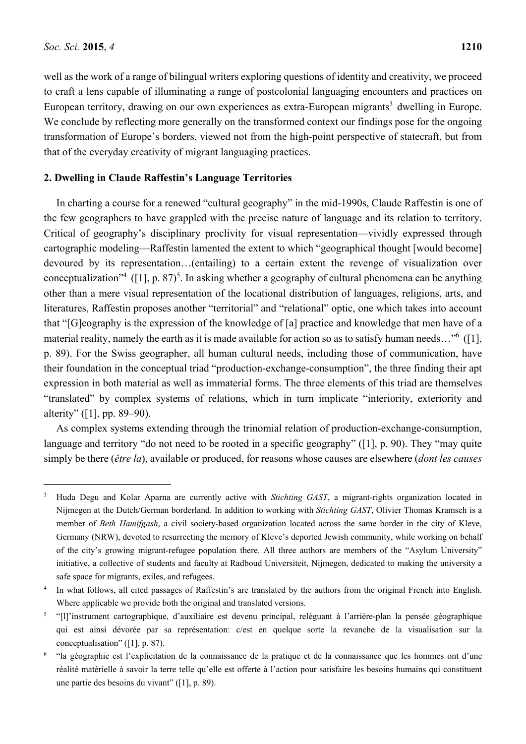well as the work of a range of bilingual writers exploring questions of identity and creativity, we proceed to craft a lens capable of illuminating a range of postcolonial languaging encounters and practices on European territory, drawing on our own experiences as extra-European migrants<sup>3</sup> dwelling in Europe. We conclude by reflecting more generally on the transformed context our findings pose for the ongoing transformation of Europe's borders, viewed not from the high-point perspective of statecraft, but from that of the everyday creativity of migrant languaging practices.

### **2. Dwelling in Claude Raffestin's Language Territories**

In charting a course for a renewed "cultural geography" in the mid-1990s, Claude Raffestin is one of the few geographers to have grappled with the precise nature of language and its relation to territory. Critical of geography's disciplinary proclivity for visual representation—vividly expressed through cartographic modeling—Raffestin lamented the extent to which "geographical thought [would become] devoured by its representation…(entailing) to a certain extent the revenge of visualization over conceptualization<sup>34</sup> ([1], p. 87)<sup>5</sup>. In asking whether a geography of cultural phenomena can be anything other than a mere visual representation of the locational distribution of languages, religions, arts, and literatures, Raffestin proposes another "territorial" and "relational" optic, one which takes into account that "[G]eography is the expression of the knowledge of [a] practice and knowledge that men have of a material reality, namely the earth as it is made available for action so as to satisfy human needs..."<sup>6</sup> ([1], p. 89). For the Swiss geographer, all human cultural needs, including those of communication, have their foundation in the conceptual triad "production-exchange-consumption", the three finding their apt expression in both material as well as immaterial forms. The three elements of this triad are themselves "translated" by complex systems of relations, which in turn implicate "interiority, exteriority and alterity" ([1], pp. 89–90).

As complex systems extending through the trinomial relation of production-exchange-consumption, language and territory "do not need to be rooted in a specific geography" ([1], p. 90). They "may quite simply be there (*être la*), available or produced, for reasons whose causes are elsewhere (*dont les causes* 

<sup>3</sup> Huda Degu and Kolar Aparna are currently active with *Stichting GAST*, a migrant-rights organization located in Nijmegen at the Dutch/German borderland. In addition to working with *Stichting GAST*, Olivier Thomas Kramsch is a member of *Beth Hamifgash*, a civil society-based organization located across the same border in the city of Kleve, Germany (NRW), devoted to resurrecting the memory of Kleve's deported Jewish community, while working on behalf of the city's growing migrant-refugee population there. All three authors are members of the "Asylum University" initiative, a collective of students and faculty at Radboud Universiteit, Nijmegen, dedicated to making the university a safe space for migrants, exiles, and refugees.

<sup>&</sup>lt;sup>4</sup> In what follows, all cited passages of Raffestin's are translated by the authors from the original French into English. Where applicable we provide both the original and translated versions.

<sup>5</sup> "[l]'instrument cartographique, d'auxiliaire est devenu principal, reléguant à l'arrière-plan la pensée géographique qui est ainsi dévorée par sa représentation: c/est en quelque sorte la revanche de la visualisation sur la conceptualisation" ([1], p. 87).

<sup>&</sup>lt;sup>6</sup> "la géographie est l'explicitation de la connaissance de la pratique et de la connaissance que les hommes ont d'une réalité matérielle à savoir la terre telle qu'elle est offerte à l'action pour satisfaire les besoins humains qui constituent une partie des besoins du vivant" ([1], p. 89).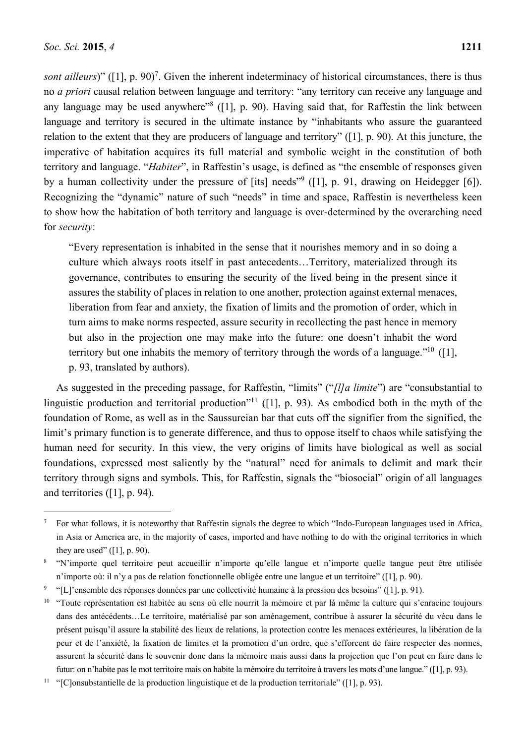sont ailleurs)" ([1], p. 90)<sup>7</sup>. Given the inherent indeterminacy of historical circumstances, there is thus no *a priori* causal relation between language and territory: "any territory can receive any language and any language may be used anywhere"<sup>8</sup> ([1], p. 90). Having said that, for Raffestin the link between language and territory is secured in the ultimate instance by "inhabitants who assure the guaranteed relation to the extent that they are producers of language and territory" ([1], p. 90). At this juncture, the imperative of habitation acquires its full material and symbolic weight in the constitution of both territory and language. "*Habiter*", in Raffestin's usage, is defined as "the ensemble of responses given by a human collectivity under the pressure of [its] needs<sup>"9</sup> ([1], p. 91, drawing on Heidegger [6]). Recognizing the "dynamic" nature of such "needs" in time and space, Raffestin is nevertheless keen to show how the habitation of both territory and language is over-determined by the overarching need for *security*:

"Every representation is inhabited in the sense that it nourishes memory and in so doing a culture which always roots itself in past antecedents…Territory, materialized through its governance, contributes to ensuring the security of the lived being in the present since it assures the stability of places in relation to one another, protection against external menaces, liberation from fear and anxiety, the fixation of limits and the promotion of order, which in turn aims to make norms respected, assure security in recollecting the past hence in memory but also in the projection one may make into the future: one doesn't inhabit the word territory but one inhabits the memory of territory through the words of a language."10 ([1], p. 93, translated by authors).

As suggested in the preceding passage, for Raffestin, "limits" ("*[l]a limite*") are "consubstantial to linguistic production and territorial production<sup>"11</sup> ([1], p. 93). As embodied both in the myth of the foundation of Rome, as well as in the Saussureian bar that cuts off the signifier from the signified, the limit's primary function is to generate difference, and thus to oppose itself to chaos while satisfying the human need for security. In this view, the very origins of limits have biological as well as social foundations, expressed most saliently by the "natural" need for animals to delimit and mark their territory through signs and symbols. This, for Raffestin, signals the "biosocial" origin of all languages and territories ([1], p. 94).

 $\frac{7}{10}$  For what follows, it is noteworthy that Raffestin signals the degree to which "Indo-European languages used in Africa, in Asia or America are, in the majority of cases, imported and have nothing to do with the original territories in which they are used"  $(11, p. 90)$ .

<sup>8</sup> "N'importe quel territoire peut accueillir n'importe qu'elle langue et n'importe quelle tangue peut être utilisée n'importe où: il n'y a pas de relation fonctionnelle obligée entre une langue et un territoire" ([1], p. 90).

<sup>9</sup> "[L]'ensemble des réponses données par une collectivité humaine à la pression des besoins" ([1], p. 91).

<sup>&</sup>lt;sup>10</sup> "Toute représentation est habitée au sens où elle nourrit la mémoire et par là même la culture qui s'enracine toujours dans des antécédents…Le territoire, matérialisé par son aménagement, contribue à assurer la sécurité du vécu dans le présent puisqu'il assure la stabilité des lieux de relations, la protection contre les menaces extérieures, la libération de la peur et de l'anxiété, la fixation de limites et la promotion d'un ordre, que s'efforcent de faire respecter des normes, assurent la sécurité dans le souvenir donc dans la mémoire mais aussi dans la projection que l'on peut en faire dans le futur: on n'habite pas le mot territoire mais on habite la mémoire du territoire à travers les mots d'une langue." ([1], p. 93).

<sup>&</sup>lt;sup>11</sup> "[C]onsubstantielle de la production linguistique et de la production territoriale" ([1], p. 93).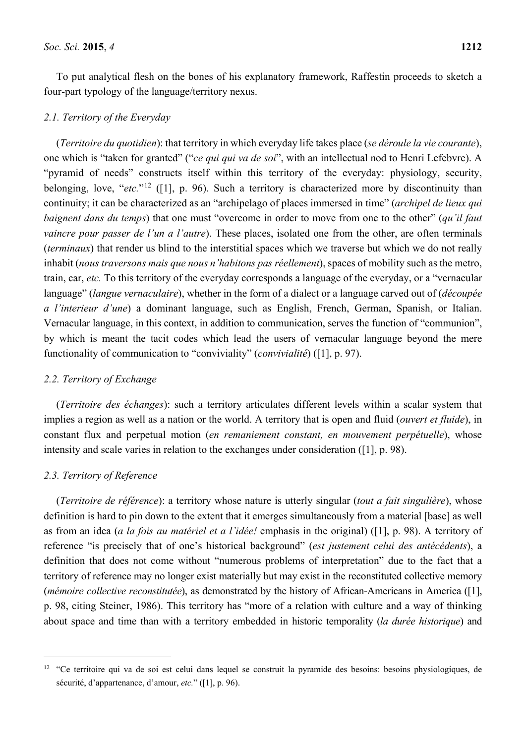To put analytical flesh on the bones of his explanatory framework, Raffestin proceeds to sketch a four-part typology of the language/territory nexus.

### *2.1. Territory of the Everyday*

(*Territoire du quotidien*): that territory in which everyday life takes place (*se déroule la vie courante*), one which is "taken for granted" ("*ce qui qui va de soi*", with an intellectual nod to Henri Lefebvre). A "pyramid of needs" constructs itself within this territory of the everyday: physiology, security, belonging, love, "*etc.*"12 ([1], p. 96). Such a territory is characterized more by discontinuity than continuity; it can be characterized as an "archipelago of places immersed in time" (*archipel de lieux qui baignent dans du temps*) that one must "overcome in order to move from one to the other" (*qu'il faut vaincre pour passer de l'un a l'autre*). These places, isolated one from the other, are often terminals (*terminaux*) that render us blind to the interstitial spaces which we traverse but which we do not really inhabit (*nous traversons mais que nous n'habitons pas réellement*), spaces of mobility such as the metro, train, car, *etc.* To this territory of the everyday corresponds a language of the everyday, or a "vernacular language" (*langue vernaculaire*), whether in the form of a dialect or a language carved out of (*découpée a l'interieur d'une*) a dominant language, such as English, French, German, Spanish, or Italian. Vernacular language, in this context, in addition to communication, serves the function of "communion", by which is meant the tacit codes which lead the users of vernacular language beyond the mere functionality of communication to "conviviality" (*convivialité*) ([1], p. 97).

#### *2.2. Territory of Exchange*

(*Territoire des échanges*): such a territory articulates different levels within a scalar system that implies a region as well as a nation or the world. A territory that is open and fluid (*ouvert et fluide*), in constant flux and perpetual motion (*en remaniement constant, en mouvement perpétuelle*), whose intensity and scale varies in relation to the exchanges under consideration ([1], p. 98).

#### *2.3. Territory of Reference*

 $\overline{a}$ 

(*Territoire de référence*): a territory whose nature is utterly singular (*tout a fait singulière*), whose definition is hard to pin down to the extent that it emerges simultaneously from a material [base] as well as from an idea (*a la fois au matériel et a l'idée!* emphasis in the original) ([1], p. 98). A territory of reference "is precisely that of one's historical background" (*est justement celui des antécédents*), a definition that does not come without "numerous problems of interpretation" due to the fact that a territory of reference may no longer exist materially but may exist in the reconstituted collective memory (*mémoire collective reconstitutée*), as demonstrated by the history of African-Americans in America ([1], p. 98, citing Steiner, 1986). This territory has "more of a relation with culture and a way of thinking about space and time than with a territory embedded in historic temporality (*la durée historique*) and

<sup>&</sup>lt;sup>12</sup> "Ce territoire qui va de soi est celui dans lequel se construit la pyramide des besoins: besoins physiologiques, de sécurité, d'appartenance, d'amour, *etc.*" ([1], p. 96).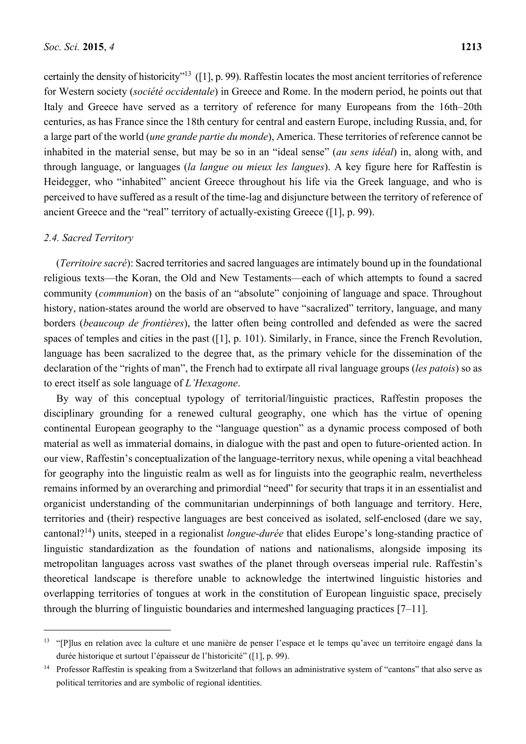certainly the density of historicity"13 ([1], p. 99). Raffestin locates the most ancient territories of reference for Western society (*société occidentale*) in Greece and Rome. In the modern period, he points out that Italy and Greece have served as a territory of reference for many Europeans from the 16th–20th centuries, as has France since the 18th century for central and eastern Europe, including Russia, and, for a large part of the world (*une grande partie du monde*), America. These territories of reference cannot be inhabited in the material sense, but may be so in an "ideal sense" (*au sens idéal*) in, along with, and through language, or languages (*la langue ou mieux les langues*). A key figure here for Raffestin is Heidegger, who "inhabited" ancient Greece throughout his life via the Greek language, and who is perceived to have suffered as a result of the time-lag and disjuncture between the territory of reference of ancient Greece and the "real" territory of actually-existing Greece ([1], p. 99).

## *2.4. Sacred Territory*

 $\overline{a}$ 

(*Territoire sacré*): Sacred territories and sacred languages are intimately bound up in the foundational religious texts—the Koran, the Old and New Testaments—each of which attempts to found a sacred community (*communion*) on the basis of an "absolute" conjoining of language and space. Throughout history, nation-states around the world are observed to have "sacralized" territory, language, and many borders (*beaucoup de frontières*), the latter often being controlled and defended as were the sacred spaces of temples and cities in the past ([1], p. 101). Similarly, in France, since the French Revolution, language has been sacralized to the degree that, as the primary vehicle for the dissemination of the declaration of the "rights of man", the French had to extirpate all rival language groups (*les patois*) so as to erect itself as sole language of *L'Hexagone*.

By way of this conceptual typology of territorial/linguistic practices, Raffestin proposes the disciplinary grounding for a renewed cultural geography, one which has the virtue of opening continental European geography to the "language question" as a dynamic process composed of both material as well as immaterial domains, in dialogue with the past and open to future-oriented action. In our view, Raffestin's conceptualization of the language-territory nexus, while opening a vital beachhead for geography into the linguistic realm as well as for linguists into the geographic realm, nevertheless remains informed by an overarching and primordial "need" for security that traps it in an essentialist and organicist understanding of the communitarian underpinnings of both language and territory. Here, territories and (their) respective languages are best conceived as isolated, self-enclosed (dare we say, cantonal?14) units, steeped in a regionalist *longue-durée* that elides Europe's long-standing practice of linguistic standardization as the foundation of nations and nationalisms, alongside imposing its metropolitan languages across vast swathes of the planet through overseas imperial rule. Raffestin's theoretical landscape is therefore unable to acknowledge the intertwined linguistic histories and overlapping territories of tongues at work in the constitution of European linguistic space, precisely through the blurring of linguistic boundaries and intermeshed languaging practices [7–11].

<sup>&</sup>lt;sup>13</sup> "[P]lus en relation avec la culture et une manière de penser l'espace et le temps qu'avec un territoire engagé dans la durée historique et surtout l'épaisseur de l'historicité" ([1], p. 99).

<sup>&</sup>lt;sup>14</sup> Professor Raffestin is speaking from a Switzerland that follows an administrative system of "cantons" that also serve as political territories and are symbolic of regional identities.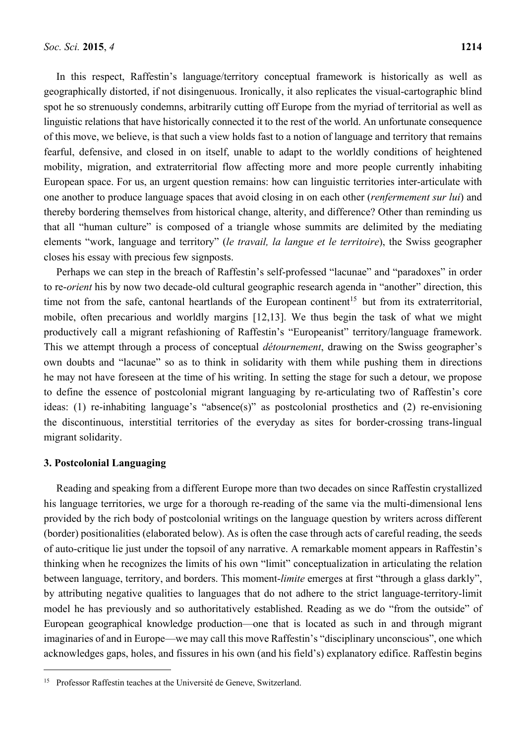In this respect, Raffestin's language/territory conceptual framework is historically as well as geographically distorted, if not disingenuous. Ironically, it also replicates the visual-cartographic blind spot he so strenuously condemns, arbitrarily cutting off Europe from the myriad of territorial as well as linguistic relations that have historically connected it to the rest of the world. An unfortunate consequence of this move, we believe, is that such a view holds fast to a notion of language and territory that remains fearful, defensive, and closed in on itself, unable to adapt to the worldly conditions of heightened mobility, migration, and extraterritorial flow affecting more and more people currently inhabiting European space. For us, an urgent question remains: how can linguistic territories inter-articulate with one another to produce language spaces that avoid closing in on each other (*renfermement sur lui*) and thereby bordering themselves from historical change, alterity, and difference? Other than reminding us that all "human culture" is composed of a triangle whose summits are delimited by the mediating elements "work, language and territory" (*le travail, la langue et le territoire*), the Swiss geographer closes his essay with precious few signposts.

Perhaps we can step in the breach of Raffestin's self-professed "lacunae" and "paradoxes" in order to re-*orient* his by now two decade-old cultural geographic research agenda in "another" direction, this time not from the safe, cantonal heartlands of the European continent<sup>15</sup> but from its extraterritorial, mobile, often precarious and worldly margins [12,13]. We thus begin the task of what we might productively call a migrant refashioning of Raffestin's "Europeanist" territory/language framework. This we attempt through a process of conceptual *détournement*, drawing on the Swiss geographer's own doubts and "lacunae" so as to think in solidarity with them while pushing them in directions he may not have foreseen at the time of his writing. In setting the stage for such a detour, we propose to define the essence of postcolonial migrant languaging by re-articulating two of Raffestin's core ideas: (1) re-inhabiting language's "absence(s)" as postcolonial prosthetics and (2) re-envisioning the discontinuous, interstitial territories of the everyday as sites for border-crossing trans-lingual migrant solidarity.

#### **3. Postcolonial Languaging**

 $\overline{a}$ 

Reading and speaking from a different Europe more than two decades on since Raffestin crystallized his language territories, we urge for a thorough re-reading of the same via the multi-dimensional lens provided by the rich body of postcolonial writings on the language question by writers across different (border) positionalities (elaborated below). As is often the case through acts of careful reading, the seeds of auto-critique lie just under the topsoil of any narrative. A remarkable moment appears in Raffestin's thinking when he recognizes the limits of his own "limit" conceptualization in articulating the relation between language, territory, and borders. This moment-*limite* emerges at first "through a glass darkly", by attributing negative qualities to languages that do not adhere to the strict language-territory-limit model he has previously and so authoritatively established. Reading as we do "from the outside" of European geographical knowledge production—one that is located as such in and through migrant imaginaries of and in Europe—we may call this move Raffestin's "disciplinary unconscious", one which acknowledges gaps, holes, and fissures in his own (and his field's) explanatory edifice. Raffestin begins

<sup>&</sup>lt;sup>15</sup> Professor Raffestin teaches at the Université de Geneve, Switzerland.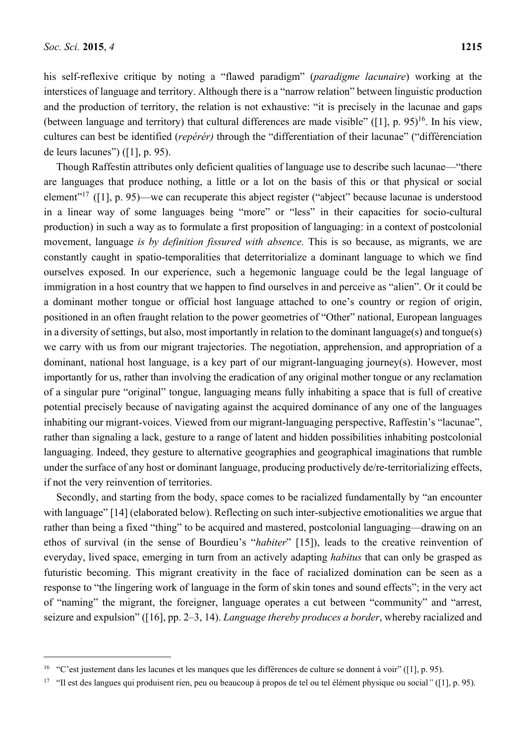his self-reflexive critique by noting a "flawed paradigm" (*paradigme lacunaire*) working at the interstices of language and territory. Although there is a "narrow relation" between linguistic production and the production of territory, the relation is not exhaustive: "it is precisely in the lacunae and gaps (between language and territory) that cultural differences are made visible" ( $[1]$ , p. 95)<sup>16</sup>. In his view, cultures can best be identified (*repérér)* through the "differentiation of their lacunae" ("différenciation de leurs lacunes") ([1], p. 95).

Though Raffestin attributes only deficient qualities of language use to describe such lacunae—"there are languages that produce nothing, a little or a lot on the basis of this or that physical or social element"17 ([1], p. 95)—we can recuperate this abject register ("abject" because lacunae is understood in a linear way of some languages being "more" or "less" in their capacities for socio-cultural production) in such a way as to formulate a first proposition of languaging: in a context of postcolonial movement, language *is by definition fissured with absence.* This is so because, as migrants, we are constantly caught in spatio-temporalities that deterritorialize a dominant language to which we find ourselves exposed. In our experience, such a hegemonic language could be the legal language of immigration in a host country that we happen to find ourselves in and perceive as "alien". Or it could be a dominant mother tongue or official host language attached to one's country or region of origin, positioned in an often fraught relation to the power geometries of "Other" national, European languages in a diversity of settings, but also, most importantly in relation to the dominant language(s) and tongue(s) we carry with us from our migrant trajectories. The negotiation, apprehension, and appropriation of a dominant, national host language, is a key part of our migrant-languaging journey(s). However, most importantly for us, rather than involving the eradication of any original mother tongue or any reclamation of a singular pure "original" tongue, languaging means fully inhabiting a space that is full of creative potential precisely because of navigating against the acquired dominance of any one of the languages inhabiting our migrant-voices. Viewed from our migrant-languaging perspective, Raffestin's "lacunae", rather than signaling a lack, gesture to a range of latent and hidden possibilities inhabiting postcolonial languaging. Indeed, they gesture to alternative geographies and geographical imaginations that rumble under the surface of any host or dominant language, producing productively de/re-territorializing effects, if not the very reinvention of territories.

Secondly, and starting from the body, space comes to be racialized fundamentally by "an encounter with language" [14] (elaborated below). Reflecting on such inter-subjective emotionalities we argue that rather than being a fixed "thing" to be acquired and mastered, postcolonial languaging—drawing on an ethos of survival (in the sense of Bourdieu's "*habiter*" [15]), leads to the creative reinvention of everyday, lived space, emerging in turn from an actively adapting *habitus* that can only be grasped as futuristic becoming. This migrant creativity in the face of racialized domination can be seen as a response to "the lingering work of language in the form of skin tones and sound effects"; in the very act of "naming" the migrant, the foreigner, language operates a cut between "community" and "arrest, seizure and expulsion" ([16], pp. 2–3, 14). *Language thereby produces a border*, whereby racialized and

<sup>&</sup>lt;sup>16</sup> "C'est justement dans les lacunes et les manques que les différences de culture se donnent à voir" ([1], p. 95).

<sup>17 &</sup>quot;Il est des langues qui produisent rien, peu ou beaucoup à propos de tel ou tel élément physique ou social*"* ([1], p. 95).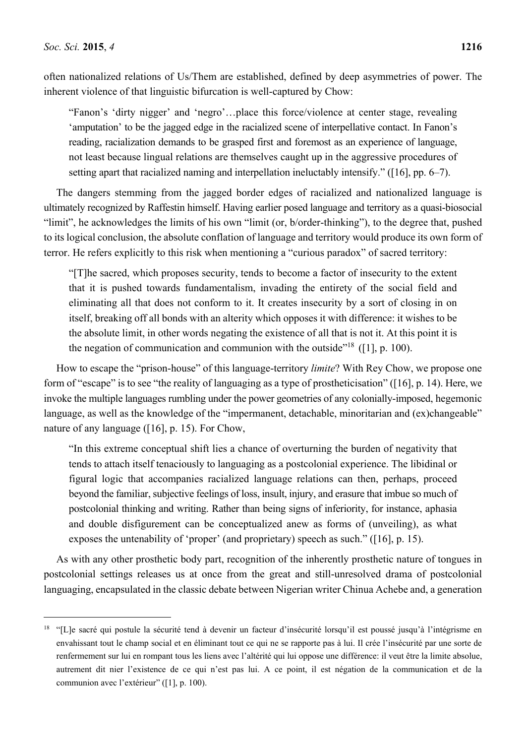often nationalized relations of Us/Them are established, defined by deep asymmetries of power. The inherent violence of that linguistic bifurcation is well-captured by Chow:

"Fanon's 'dirty nigger' and 'negro'…place this force/violence at center stage, revealing 'amputation' to be the jagged edge in the racialized scene of interpellative contact. In Fanon's reading, racialization demands to be grasped first and foremost as an experience of language, not least because lingual relations are themselves caught up in the aggressive procedures of setting apart that racialized naming and interpellation ineluctably intensify." ([16], pp. 6–7).

The dangers stemming from the jagged border edges of racialized and nationalized language is ultimately recognized by Raffestin himself. Having earlier posed language and territory as a quasi-biosocial "limit", he acknowledges the limits of his own "limit (or, b/order-thinking"), to the degree that, pushed to its logical conclusion, the absolute conflation of language and territory would produce its own form of terror. He refers explicitly to this risk when mentioning a "curious paradox" of sacred territory:

"[T]he sacred, which proposes security, tends to become a factor of insecurity to the extent that it is pushed towards fundamentalism, invading the entirety of the social field and eliminating all that does not conform to it. It creates insecurity by a sort of closing in on itself, breaking off all bonds with an alterity which opposes it with difference: it wishes to be the absolute limit, in other words negating the existence of all that is not it. At this point it is the negation of communication and communion with the outside"<sup>18</sup> ([1], p. 100).

How to escape the "prison-house" of this language-territory *limite*? With Rey Chow, we propose one form of "escape" is to see "the reality of languaging as a type of prostheticisation" ([16], p. 14). Here, we invoke the multiple languages rumbling under the power geometries of any colonially-imposed, hegemonic language, as well as the knowledge of the "impermanent, detachable, minoritarian and (ex)changeable" nature of any language ([16], p. 15). For Chow,

"In this extreme conceptual shift lies a chance of overturning the burden of negativity that tends to attach itself tenaciously to languaging as a postcolonial experience. The libidinal or figural logic that accompanies racialized language relations can then, perhaps, proceed beyond the familiar, subjective feelings of loss, insult, injury, and erasure that imbue so much of postcolonial thinking and writing. Rather than being signs of inferiority, for instance, aphasia and double disfigurement can be conceptualized anew as forms of (unveiling), as what exposes the untenability of 'proper' (and proprietary) speech as such." ([16], p. 15).

As with any other prosthetic body part, recognition of the inherently prosthetic nature of tongues in postcolonial settings releases us at once from the great and still-unresolved drama of postcolonial languaging, encapsulated in the classic debate between Nigerian writer Chinua Achebe and, a generation

<sup>&</sup>lt;sup>18</sup> "[L]e sacré qui postule la sécurité tend à devenir un facteur d'insécurité lorsqu'il est poussé jusqu'à l'intégrisme en envahissant tout le champ social et en éliminant tout ce qui ne se rapporte pas à lui. Il crée l'insécurité par une sorte de renfermement sur lui en rompant tous les liens avec l'altérité qui lui oppose une différence: il veut être la limite absolue, autrement dit nier l'existence de ce qui n'est pas lui. A ce point, il est négation de la communication et de la communion avec l'extérieur" ([1], p. 100).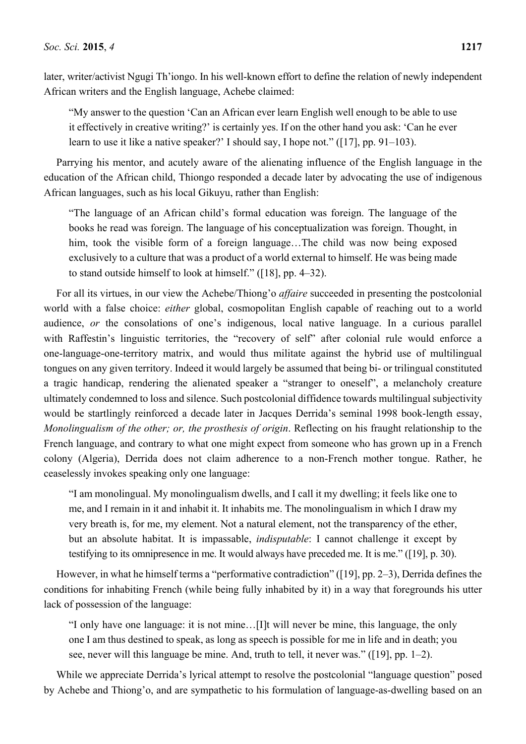later, writer/activist Ngugi Th'iongo. In his well-known effort to define the relation of newly independent African writers and the English language, Achebe claimed:

"My answer to the question 'Can an African ever learn English well enough to be able to use it effectively in creative writing?' is certainly yes. If on the other hand you ask: 'Can he ever learn to use it like a native speaker?' I should say, I hope not." ([17], pp. 91–103).

Parrying his mentor, and acutely aware of the alienating influence of the English language in the education of the African child, Thiongo responded a decade later by advocating the use of indigenous African languages, such as his local Gikuyu, rather than English:

"The language of an African child's formal education was foreign. The language of the books he read was foreign. The language of his conceptualization was foreign. Thought, in him, took the visible form of a foreign language…The child was now being exposed exclusively to a culture that was a product of a world external to himself. He was being made to stand outside himself to look at himself." ([18], pp. 4–32).

For all its virtues, in our view the Achebe/Thiong'o *affaire* succeeded in presenting the postcolonial world with a false choice: *either* global, cosmopolitan English capable of reaching out to a world audience, *or* the consolations of one's indigenous, local native language. In a curious parallel with Raffestin's linguistic territories, the "recovery of self" after colonial rule would enforce a one-language-one-territory matrix, and would thus militate against the hybrid use of multilingual tongues on any given territory. Indeed it would largely be assumed that being bi- or trilingual constituted a tragic handicap, rendering the alienated speaker a "stranger to oneself", a melancholy creature ultimately condemned to loss and silence. Such postcolonial diffidence towards multilingual subjectivity would be startlingly reinforced a decade later in Jacques Derrida's seminal 1998 book-length essay, *Monolingualism of the other; or, the prosthesis of origin*. Reflecting on his fraught relationship to the French language, and contrary to what one might expect from someone who has grown up in a French colony (Algeria), Derrida does not claim adherence to a non-French mother tongue. Rather, he ceaselessly invokes speaking only one language:

"I am monolingual. My monolingualism dwells, and I call it my dwelling; it feels like one to me, and I remain in it and inhabit it. It inhabits me. The monolingualism in which I draw my very breath is, for me, my element. Not a natural element, not the transparency of the ether, but an absolute habitat. It is impassable, *indisputable*: I cannot challenge it except by testifying to its omnipresence in me. It would always have preceded me. It is me." ([19], p. 30).

However, in what he himself terms a "performative contradiction" ([19], pp. 2–3), Derrida defines the conditions for inhabiting French (while being fully inhabited by it) in a way that foregrounds his utter lack of possession of the language:

"I only have one language: it is not mine…[I]t will never be mine, this language, the only one I am thus destined to speak, as long as speech is possible for me in life and in death; you see, never will this language be mine. And, truth to tell, it never was." ([19], pp. 1–2).

While we appreciate Derrida's lyrical attempt to resolve the postcolonial "language question" posed by Achebe and Thiong'o, and are sympathetic to his formulation of language-as-dwelling based on an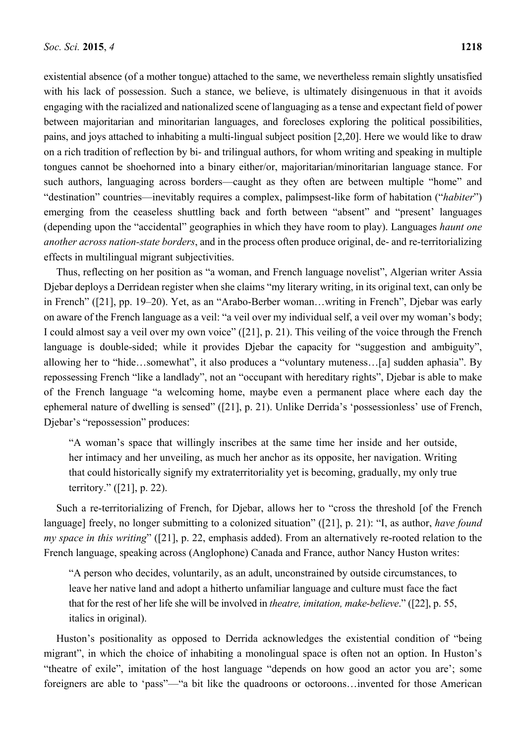existential absence (of a mother tongue) attached to the same, we nevertheless remain slightly unsatisfied with his lack of possession. Such a stance, we believe, is ultimately disingenuous in that it avoids engaging with the racialized and nationalized scene of languaging as a tense and expectant field of power between majoritarian and minoritarian languages, and forecloses exploring the political possibilities, pains, and joys attached to inhabiting a multi-lingual subject position [2,20]. Here we would like to draw on a rich tradition of reflection by bi- and trilingual authors, for whom writing and speaking in multiple tongues cannot be shoehorned into a binary either/or, majoritarian/minoritarian language stance. For such authors, languaging across borders—caught as they often are between multiple "home" and "destination" countries—inevitably requires a complex, palimpsest-like form of habitation ("*habiter*") emerging from the ceaseless shuttling back and forth between "absent" and "present' languages (depending upon the "accidental" geographies in which they have room to play). Languages *haunt one another across nation-state borders*, and in the process often produce original, de- and re-territorializing effects in multilingual migrant subjectivities.

Thus, reflecting on her position as "a woman, and French language novelist", Algerian writer Assia Djebar deploys a Derridean register when she claims "my literary writing, in its original text, can only be in French" ([21], pp. 19–20). Yet, as an "Arabo-Berber woman…writing in French", Djebar was early on aware of the French language as a veil: "a veil over my individual self, a veil over my woman's body; I could almost say a veil over my own voice" ([21], p. 21). This veiling of the voice through the French language is double-sided; while it provides Djebar the capacity for "suggestion and ambiguity", allowing her to "hide…somewhat", it also produces a "voluntary muteness…[a] sudden aphasia". By repossessing French "like a landlady", not an "occupant with hereditary rights", Djebar is able to make of the French language "a welcoming home, maybe even a permanent place where each day the ephemeral nature of dwelling is sensed" ([21], p. 21). Unlike Derrida's 'possessionless' use of French, Djebar's "repossession" produces:

"A woman's space that willingly inscribes at the same time her inside and her outside, her intimacy and her unveiling, as much her anchor as its opposite, her navigation. Writing that could historically signify my extraterritoriality yet is becoming, gradually, my only true territory." ([21], p. 22).

Such a re-territorializing of French, for Djebar, allows her to "cross the threshold [of the French language] freely, no longer submitting to a colonized situation" ([21], p. 21): "I, as author, *have found my space in this writing*" ([21], p. 22, emphasis added). From an alternatively re-rooted relation to the French language, speaking across (Anglophone) Canada and France, author Nancy Huston writes:

"A person who decides, voluntarily, as an adult, unconstrained by outside circumstances, to leave her native land and adopt a hitherto unfamiliar language and culture must face the fact that for the rest of her life she will be involved in *theatre, imitation, make-believe*." ([22], p. 55, italics in original).

Huston's positionality as opposed to Derrida acknowledges the existential condition of "being migrant", in which the choice of inhabiting a monolingual space is often not an option. In Huston's "theatre of exile", imitation of the host language "depends on how good an actor you are'; some foreigners are able to 'pass''—"a bit like the quadroons or octoroons...invented for those American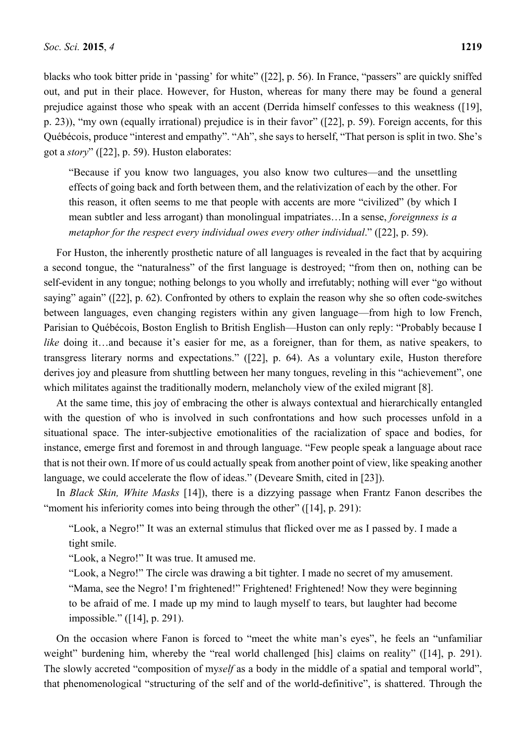blacks who took bitter pride in 'passing' for white" ([22], p. 56). In France, "passers" are quickly sniffed out, and put in their place. However, for Huston, whereas for many there may be found a general prejudice against those who speak with an accent (Derrida himself confesses to this weakness ([19], p. 23)), "my own (equally irrational) prejudice is in their favor" ([22], p. 59). Foreign accents, for this Québécois, produce "interest and empathy". "Ah", she says to herself, "That person is split in two. She's got a *story*" ([22], p. 59). Huston elaborates:

"Because if you know two languages, you also know two cultures—and the unsettling effects of going back and forth between them, and the relativization of each by the other. For this reason, it often seems to me that people with accents are more "civilized" (by which I mean subtler and less arrogant) than monolingual impatriates…In a sense, *foreignness is a metaphor for the respect every individual owes every other individual*." ([22], p. 59).

For Huston, the inherently prosthetic nature of all languages is revealed in the fact that by acquiring a second tongue, the "naturalness" of the first language is destroyed; "from then on, nothing can be self-evident in any tongue; nothing belongs to you wholly and irrefutably; nothing will ever "go without saying" again" ([22], p. 62). Confronted by others to explain the reason why she so often code-switches between languages, even changing registers within any given language—from high to low French, Parisian to Québécois, Boston English to British English—Huston can only reply: "Probably because I *like* doing it…and because it's easier for me, as a foreigner, than for them, as native speakers, to transgress literary norms and expectations." ([22], p. 64). As a voluntary exile, Huston therefore derives joy and pleasure from shuttling between her many tongues, reveling in this "achievement", one which militates against the traditionally modern, melancholy view of the exiled migrant [8].

At the same time, this joy of embracing the other is always contextual and hierarchically entangled with the question of who is involved in such confrontations and how such processes unfold in a situational space. The inter-subjective emotionalities of the racialization of space and bodies, for instance, emerge first and foremost in and through language. "Few people speak a language about race that is not their own. If more of us could actually speak from another point of view, like speaking another language, we could accelerate the flow of ideas." (Deveare Smith, cited in [23]).

In *Black Skin, White Masks* [14]), there is a dizzying passage when Frantz Fanon describes the "moment his inferiority comes into being through the other" ([14], p. 291):

"Look, a Negro!" It was an external stimulus that flicked over me as I passed by. I made a tight smile.

"Look, a Negro!" It was true. It amused me.

"Look, a Negro!" The circle was drawing a bit tighter. I made no secret of my amusement. "Mama, see the Negro! I'm frightened!" Frightened! Frightened! Now they were beginning to be afraid of me. I made up my mind to laugh myself to tears, but laughter had become impossible." ([14], p. 291).

On the occasion where Fanon is forced to "meet the white man's eyes", he feels an "unfamiliar weight" burdening him, whereby the "real world challenged [his] claims on reality" ([14], p. 291). The slowly accreted "composition of my*self* as a body in the middle of a spatial and temporal world", that phenomenological "structuring of the self and of the world-definitive", is shattered. Through the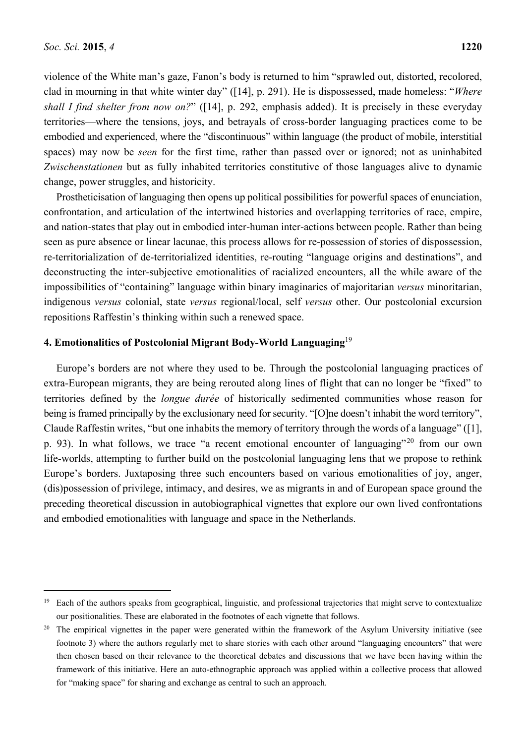violence of the White man's gaze, Fanon's body is returned to him "sprawled out, distorted, recolored, clad in mourning in that white winter day" ([14], p. 291). He is dispossessed, made homeless: "*Where shall I find shelter from now on?*" ([14], p. 292, emphasis added). It is precisely in these everyday territories—where the tensions, joys, and betrayals of cross-border languaging practices come to be embodied and experienced, where the "discontinuous" within language (the product of mobile, interstitial spaces) may now be *seen* for the first time, rather than passed over or ignored; not as uninhabited *Zwischenstationen* but as fully inhabited territories constitutive of those languages alive to dynamic change, power struggles, and historicity.

Prostheticisation of languaging then opens up political possibilities for powerful spaces of enunciation, confrontation, and articulation of the intertwined histories and overlapping territories of race, empire, and nation-states that play out in embodied inter-human inter-actions between people. Rather than being seen as pure absence or linear lacunae, this process allows for re-possession of stories of dispossession, re-territorialization of de-territorialized identities, re-routing "language origins and destinations", and deconstructing the inter-subjective emotionalities of racialized encounters, all the while aware of the impossibilities of "containing" language within binary imaginaries of majoritarian *versus* minoritarian, indigenous *versus* colonial, state *versus* regional/local, self *versus* other. Our postcolonial excursion repositions Raffestin's thinking within such a renewed space.

## **4. Emotionalities of Postcolonial Migrant Body-World Languaging**<sup>19</sup>

Europe's borders are not where they used to be. Through the postcolonial languaging practices of extra-European migrants, they are being rerouted along lines of flight that can no longer be "fixed" to territories defined by the *longue durée* of historically sedimented communities whose reason for being is framed principally by the exclusionary need for security. "[O]ne doesn't inhabit the word territory", Claude Raffestin writes, "but one inhabits the memory of territory through the words of a language" ([1], p. 93). In what follows, we trace "a recent emotional encounter of languaging"<sup>20</sup> from our own life-worlds, attempting to further build on the postcolonial languaging lens that we propose to rethink Europe's borders. Juxtaposing three such encounters based on various emotionalities of joy, anger, (dis)possession of privilege, intimacy, and desires, we as migrants in and of European space ground the preceding theoretical discussion in autobiographical vignettes that explore our own lived confrontations and embodied emotionalities with language and space in the Netherlands.

<sup>&</sup>lt;sup>19</sup> Each of the authors speaks from geographical, linguistic, and professional trajectories that might serve to contextualize our positionalities. These are elaborated in the footnotes of each vignette that follows.

<sup>&</sup>lt;sup>20</sup> The empirical vignettes in the paper were generated within the framework of the Asylum University initiative (see footnote 3) where the authors regularly met to share stories with each other around "languaging encounters" that were then chosen based on their relevance to the theoretical debates and discussions that we have been having within the framework of this initiative. Here an auto-ethnographic approach was applied within a collective process that allowed for "making space" for sharing and exchange as central to such an approach.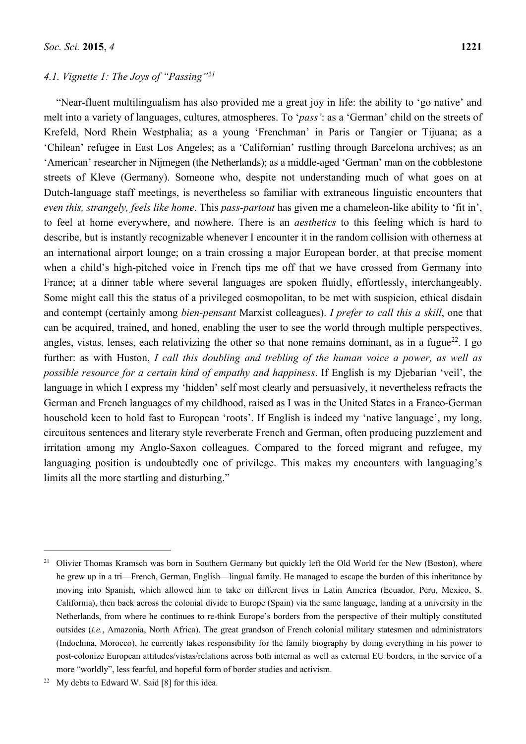## *4.1. Vignette 1: The Joys of "Passing"21*

"Near-fluent multilingualism has also provided me a great joy in life: the ability to 'go native' and melt into a variety of languages, cultures, atmospheres. To '*pass'*: as a 'German' child on the streets of Krefeld, Nord Rhein Westphalia; as a young 'Frenchman' in Paris or Tangier or Tijuana; as a 'Chilean' refugee in East Los Angeles; as a 'Californian' rustling through Barcelona archives; as an 'American' researcher in Nijmegen (the Netherlands); as a middle-aged 'German' man on the cobblestone streets of Kleve (Germany). Someone who, despite not understanding much of what goes on at Dutch-language staff meetings, is nevertheless so familiar with extraneous linguistic encounters that *even this, strangely, feels like home*. This *pass-partout* has given me a chameleon-like ability to 'fit in', to feel at home everywhere, and nowhere. There is an *aesthetics* to this feeling which is hard to describe, but is instantly recognizable whenever I encounter it in the random collision with otherness at an international airport lounge; on a train crossing a major European border, at that precise moment when a child's high-pitched voice in French tips me off that we have crossed from Germany into France; at a dinner table where several languages are spoken fluidly, effortlessly, interchangeably. Some might call this the status of a privileged cosmopolitan, to be met with suspicion, ethical disdain and contempt (certainly among *bien-pensant* Marxist colleagues). *I prefer to call this a skill*, one that can be acquired, trained, and honed, enabling the user to see the world through multiple perspectives, angles, vistas, lenses, each relativizing the other so that none remains dominant, as in a fugue<sup>22</sup>. I go further: as with Huston, *I call this doubling and trebling of the human voice a power, as well as possible resource for a certain kind of empathy and happiness*. If English is my Djebarian 'veil', the language in which I express my 'hidden' self most clearly and persuasively, it nevertheless refracts the German and French languages of my childhood, raised as I was in the United States in a Franco-German household keen to hold fast to European 'roots'. If English is indeed my 'native language', my long, circuitous sentences and literary style reverberate French and German, often producing puzzlement and irritation among my Anglo-Saxon colleagues. Compared to the forced migrant and refugee, my languaging position is undoubtedly one of privilege. This makes my encounters with languaging's limits all the more startling and disturbing."

 $\overline{a}$ 

<sup>&</sup>lt;sup>21</sup> Olivier Thomas Kramsch was born in Southern Germany but quickly left the Old World for the New (Boston), where he grew up in a tri—French, German, English—lingual family. He managed to escape the burden of this inheritance by moving into Spanish, which allowed him to take on different lives in Latin America (Ecuador, Peru, Mexico, S. California), then back across the colonial divide to Europe (Spain) via the same language, landing at a university in the Netherlands, from where he continues to re-think Europe's borders from the perspective of their multiply constituted outsides (*i.e.*, Amazonia, North Africa). The great grandson of French colonial military statesmen and administrators (Indochina, Morocco), he currently takes responsibility for the family biography by doing everything in his power to post-colonize European attitudes/vistas/relations across both internal as well as external EU borders, in the service of a more "worldly", less fearful, and hopeful form of border studies and activism.

 $22$  My debts to Edward W. Said [8] for this idea.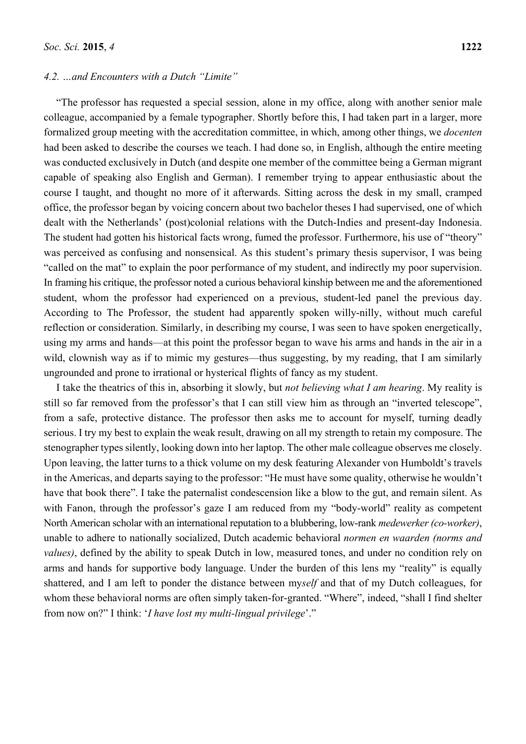#### *4.2. …and Encounters with a Dutch "Limite"*

"The professor has requested a special session, alone in my office, along with another senior male colleague, accompanied by a female typographer. Shortly before this, I had taken part in a larger, more formalized group meeting with the accreditation committee, in which, among other things, we *docenten* had been asked to describe the courses we teach. I had done so, in English, although the entire meeting was conducted exclusively in Dutch (and despite one member of the committee being a German migrant capable of speaking also English and German). I remember trying to appear enthusiastic about the course I taught, and thought no more of it afterwards. Sitting across the desk in my small, cramped office, the professor began by voicing concern about two bachelor theses I had supervised, one of which dealt with the Netherlands' (post)colonial relations with the Dutch-Indies and present-day Indonesia. The student had gotten his historical facts wrong, fumed the professor. Furthermore, his use of "theory" was perceived as confusing and nonsensical. As this student's primary thesis supervisor, I was being "called on the mat" to explain the poor performance of my student, and indirectly my poor supervision. In framing his critique, the professor noted a curious behavioral kinship between me and the aforementioned student, whom the professor had experienced on a previous, student-led panel the previous day. According to The Professor, the student had apparently spoken willy-nilly, without much careful reflection or consideration. Similarly, in describing my course, I was seen to have spoken energetically, using my arms and hands—at this point the professor began to wave his arms and hands in the air in a wild, clownish way as if to mimic my gestures—thus suggesting, by my reading, that I am similarly ungrounded and prone to irrational or hysterical flights of fancy as my student.

I take the theatrics of this in, absorbing it slowly, but *not believing what I am hearing*. My reality is still so far removed from the professor's that I can still view him as through an "inverted telescope", from a safe, protective distance. The professor then asks me to account for myself, turning deadly serious. I try my best to explain the weak result, drawing on all my strength to retain my composure. The stenographer types silently, looking down into her laptop. The other male colleague observes me closely. Upon leaving, the latter turns to a thick volume on my desk featuring Alexander von Humboldt's travels in the Americas, and departs saying to the professor: "He must have some quality, otherwise he wouldn't have that book there". I take the paternalist condescension like a blow to the gut, and remain silent. As with Fanon, through the professor's gaze I am reduced from my "body-world" reality as competent North American scholar with an international reputation to a blubbering, low-rank *medewerker (co-worker)*, unable to adhere to nationally socialized, Dutch academic behavioral *normen en waarden (norms and values)*, defined by the ability to speak Dutch in low, measured tones, and under no condition rely on arms and hands for supportive body language. Under the burden of this lens my "reality" is equally shattered, and I am left to ponder the distance between my*self* and that of my Dutch colleagues, for whom these behavioral norms are often simply taken-for-granted. "Where", indeed, "shall I find shelter from now on?" I think: '*I have lost my multi-lingual privilege*'."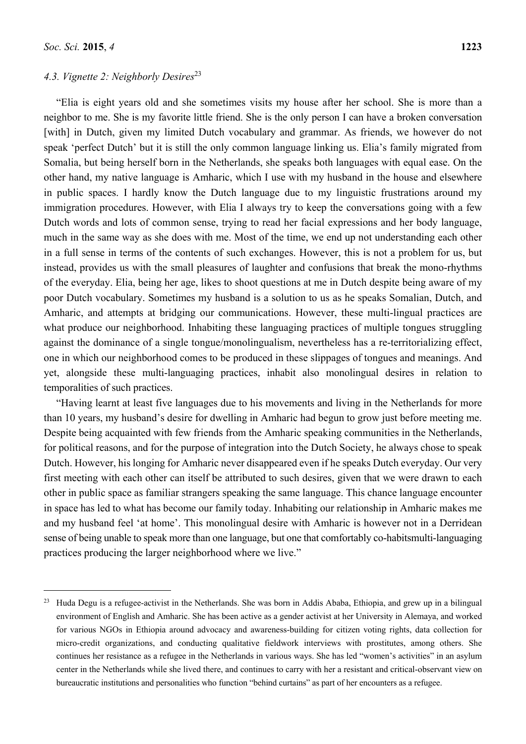## *4.3. Vignette 2: Neighborly Desires*<sup>23</sup>

"Elia is eight years old and she sometimes visits my house after her school. She is more than a neighbor to me. She is my favorite little friend. She is the only person I can have a broken conversation [with] in Dutch, given my limited Dutch vocabulary and grammar. As friends, we however do not speak 'perfect Dutch' but it is still the only common language linking us. Elia's family migrated from Somalia, but being herself born in the Netherlands, she speaks both languages with equal ease. On the other hand, my native language is Amharic, which I use with my husband in the house and elsewhere in public spaces. I hardly know the Dutch language due to my linguistic frustrations around my immigration procedures. However, with Elia I always try to keep the conversations going with a few Dutch words and lots of common sense, trying to read her facial expressions and her body language, much in the same way as she does with me. Most of the time, we end up not understanding each other in a full sense in terms of the contents of such exchanges. However, this is not a problem for us, but instead, provides us with the small pleasures of laughter and confusions that break the mono-rhythms of the everyday. Elia, being her age, likes to shoot questions at me in Dutch despite being aware of my poor Dutch vocabulary. Sometimes my husband is a solution to us as he speaks Somalian, Dutch, and Amharic, and attempts at bridging our communications. However, these multi-lingual practices are what produce our neighborhood. Inhabiting these languaging practices of multiple tongues struggling against the dominance of a single tongue/monolingualism, nevertheless has a re-territorializing effect, one in which our neighborhood comes to be produced in these slippages of tongues and meanings. And yet, alongside these multi-languaging practices, inhabit also monolingual desires in relation to temporalities of such practices.

"Having learnt at least five languages due to his movements and living in the Netherlands for more than 10 years, my husband's desire for dwelling in Amharic had begun to grow just before meeting me. Despite being acquainted with few friends from the Amharic speaking communities in the Netherlands, for political reasons, and for the purpose of integration into the Dutch Society, he always chose to speak Dutch. However, his longing for Amharic never disappeared even if he speaks Dutch everyday. Our very first meeting with each other can itself be attributed to such desires, given that we were drawn to each other in public space as familiar strangers speaking the same language. This chance language encounter in space has led to what has become our family today. Inhabiting our relationship in Amharic makes me and my husband feel 'at home'. This monolingual desire with Amharic is however not in a Derridean sense of being unable to speak more than one language, but one that comfortably co-habitsmulti-languaging practices producing the larger neighborhood where we live."

<sup>&</sup>lt;sup>23</sup> Huda Degu is a refugee-activist in the Netherlands. She was born in Addis Ababa, Ethiopia, and grew up in a bilingual environment of English and Amharic. She has been active as a gender activist at her University in Alemaya, and worked for various NGOs in Ethiopia around advocacy and awareness-building for citizen voting rights, data collection for micro-credit organizations, and conducting qualitative fieldwork interviews with prostitutes, among others. She continues her resistance as a refugee in the Netherlands in various ways. She has led "women's activities" in an asylum center in the Netherlands while she lived there, and continues to carry with her a resistant and critical-observant view on bureaucratic institutions and personalities who function "behind curtains" as part of her encounters as a refugee.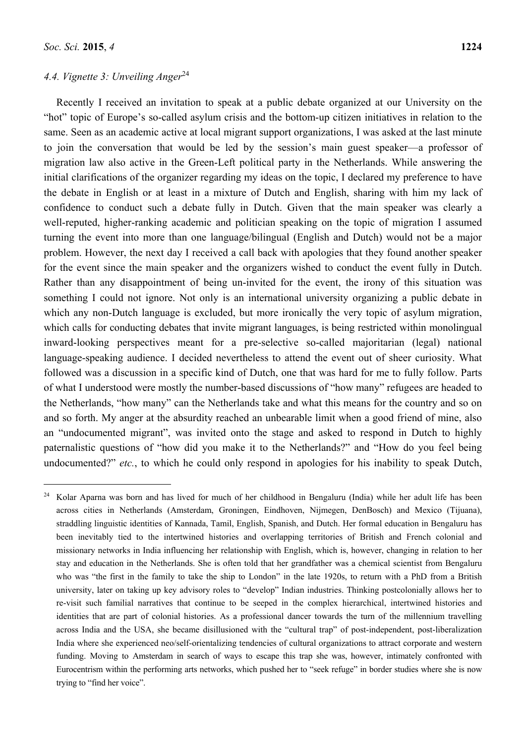### *4.4. Vignette 3: Unveiling Anger*<sup>24</sup>

Recently I received an invitation to speak at a public debate organized at our University on the "hot" topic of Europe's so-called asylum crisis and the bottom-up citizen initiatives in relation to the same. Seen as an academic active at local migrant support organizations, I was asked at the last minute to join the conversation that would be led by the session's main guest speaker—a professor of migration law also active in the Green-Left political party in the Netherlands. While answering the initial clarifications of the organizer regarding my ideas on the topic, I declared my preference to have the debate in English or at least in a mixture of Dutch and English, sharing with him my lack of confidence to conduct such a debate fully in Dutch. Given that the main speaker was clearly a well-reputed, higher-ranking academic and politician speaking on the topic of migration I assumed turning the event into more than one language/bilingual (English and Dutch) would not be a major problem. However, the next day I received a call back with apologies that they found another speaker for the event since the main speaker and the organizers wished to conduct the event fully in Dutch. Rather than any disappointment of being un-invited for the event, the irony of this situation was something I could not ignore. Not only is an international university organizing a public debate in which any non-Dutch language is excluded, but more ironically the very topic of asylum migration, which calls for conducting debates that invite migrant languages, is being restricted within monolingual inward-looking perspectives meant for a pre-selective so-called majoritarian (legal) national language-speaking audience. I decided nevertheless to attend the event out of sheer curiosity. What followed was a discussion in a specific kind of Dutch, one that was hard for me to fully follow. Parts of what I understood were mostly the number-based discussions of "how many" refugees are headed to the Netherlands, "how many" can the Netherlands take and what this means for the country and so on and so forth. My anger at the absurdity reached an unbearable limit when a good friend of mine, also an "undocumented migrant", was invited onto the stage and asked to respond in Dutch to highly paternalistic questions of "how did you make it to the Netherlands?" and "How do you feel being undocumented?" *etc.*, to which he could only respond in apologies for his inability to speak Dutch,

<sup>24</sup> Kolar Aparna was born and has lived for much of her childhood in Bengaluru (India) while her adult life has been across cities in Netherlands (Amsterdam, Groningen, Eindhoven, Nijmegen, DenBosch) and Mexico (Tijuana), straddling linguistic identities of Kannada, Tamil, English, Spanish, and Dutch. Her formal education in Bengaluru has been inevitably tied to the intertwined histories and overlapping territories of British and French colonial and missionary networks in India influencing her relationship with English, which is, however, changing in relation to her stay and education in the Netherlands. She is often told that her grandfather was a chemical scientist from Bengaluru who was "the first in the family to take the ship to London" in the late 1920s, to return with a PhD from a British university, later on taking up key advisory roles to "develop" Indian industries. Thinking postcolonially allows her to re-visit such familial narratives that continue to be seeped in the complex hierarchical, intertwined histories and identities that are part of colonial histories. As a professional dancer towards the turn of the millennium travelling across India and the USA, she became disillusioned with the "cultural trap" of post-independent, post-liberalization India where she experienced neo/self-orientalizing tendencies of cultural organizations to attract corporate and western funding. Moving to Amsterdam in search of ways to escape this trap she was, however, intimately confronted with Eurocentrism within the performing arts networks, which pushed her to "seek refuge" in border studies where she is now trying to "find her voice".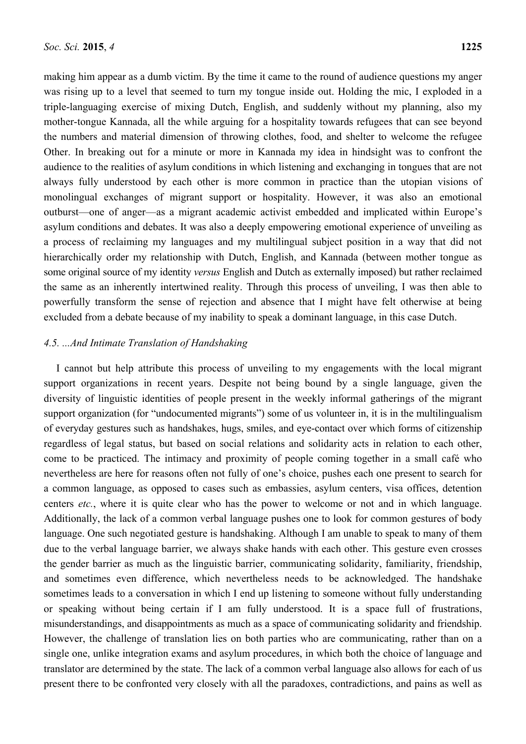making him appear as a dumb victim. By the time it came to the round of audience questions my anger was rising up to a level that seemed to turn my tongue inside out. Holding the mic, I exploded in a triple-languaging exercise of mixing Dutch, English, and suddenly without my planning, also my mother-tongue Kannada, all the while arguing for a hospitality towards refugees that can see beyond the numbers and material dimension of throwing clothes, food, and shelter to welcome the refugee Other. In breaking out for a minute or more in Kannada my idea in hindsight was to confront the audience to the realities of asylum conditions in which listening and exchanging in tongues that are not always fully understood by each other is more common in practice than the utopian visions of monolingual exchanges of migrant support or hospitality. However, it was also an emotional outburst—one of anger—as a migrant academic activist embedded and implicated within Europe's asylum conditions and debates. It was also a deeply empowering emotional experience of unveiling as a process of reclaiming my languages and my multilingual subject position in a way that did not hierarchically order my relationship with Dutch, English, and Kannada (between mother tongue as some original source of my identity *versus* English and Dutch as externally imposed) but rather reclaimed the same as an inherently intertwined reality. Through this process of unveiling, I was then able to powerfully transform the sense of rejection and absence that I might have felt otherwise at being excluded from a debate because of my inability to speak a dominant language, in this case Dutch.

# *4.5. ...And Intimate Translation of Handshaking*

I cannot but help attribute this process of unveiling to my engagements with the local migrant support organizations in recent years. Despite not being bound by a single language, given the diversity of linguistic identities of people present in the weekly informal gatherings of the migrant support organization (for "undocumented migrants") some of us volunteer in, it is in the multilingualism of everyday gestures such as handshakes, hugs, smiles, and eye-contact over which forms of citizenship regardless of legal status, but based on social relations and solidarity acts in relation to each other, come to be practiced. The intimacy and proximity of people coming together in a small café who nevertheless are here for reasons often not fully of one's choice, pushes each one present to search for a common language, as opposed to cases such as embassies, asylum centers, visa offices, detention centers *etc.*, where it is quite clear who has the power to welcome or not and in which language. Additionally, the lack of a common verbal language pushes one to look for common gestures of body language. One such negotiated gesture is handshaking. Although I am unable to speak to many of them due to the verbal language barrier, we always shake hands with each other. This gesture even crosses the gender barrier as much as the linguistic barrier, communicating solidarity, familiarity, friendship, and sometimes even difference, which nevertheless needs to be acknowledged. The handshake sometimes leads to a conversation in which I end up listening to someone without fully understanding or speaking without being certain if I am fully understood. It is a space full of frustrations, misunderstandings, and disappointments as much as a space of communicating solidarity and friendship. However, the challenge of translation lies on both parties who are communicating, rather than on a single one, unlike integration exams and asylum procedures, in which both the choice of language and translator are determined by the state. The lack of a common verbal language also allows for each of us present there to be confronted very closely with all the paradoxes, contradictions, and pains as well as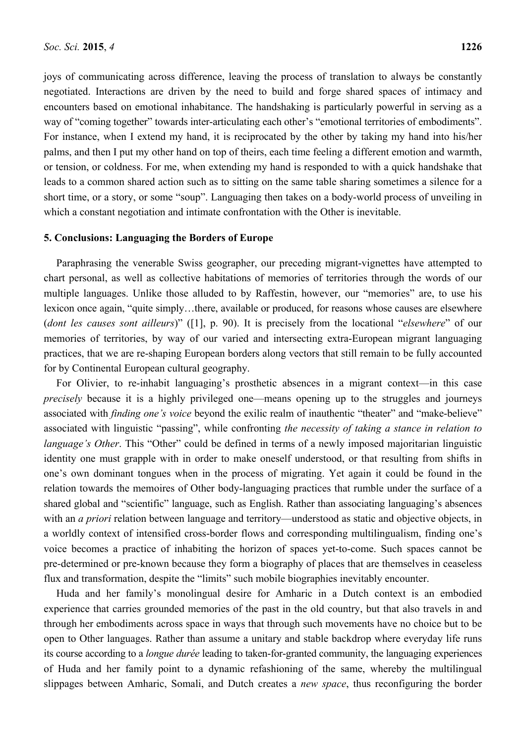joys of communicating across difference, leaving the process of translation to always be constantly negotiated. Interactions are driven by the need to build and forge shared spaces of intimacy and encounters based on emotional inhabitance. The handshaking is particularly powerful in serving as a way of "coming together" towards inter-articulating each other's "emotional territories of embodiments". For instance, when I extend my hand, it is reciprocated by the other by taking my hand into his/her palms, and then I put my other hand on top of theirs, each time feeling a different emotion and warmth, or tension, or coldness. For me, when extending my hand is responded to with a quick handshake that leads to a common shared action such as to sitting on the same table sharing sometimes a silence for a short time, or a story, or some "soup". Languaging then takes on a body-world process of unveiling in which a constant negotiation and intimate confrontation with the Other is inevitable.

#### **5. Conclusions: Languaging the Borders of Europe**

Paraphrasing the venerable Swiss geographer, our preceding migrant-vignettes have attempted to chart personal, as well as collective habitations of memories of territories through the words of our multiple languages. Unlike those alluded to by Raffestin, however, our "memories" are, to use his lexicon once again, "quite simply…there, available or produced, for reasons whose causes are elsewhere (*dont les causes sont ailleurs*)" ([1], p. 90). It is precisely from the locational "*elsewhere*" of our memories of territories, by way of our varied and intersecting extra-European migrant languaging practices, that we are re-shaping European borders along vectors that still remain to be fully accounted for by Continental European cultural geography.

For Olivier, to re-inhabit languaging's prosthetic absences in a migrant context—in this case *precisely* because it is a highly privileged one—means opening up to the struggles and journeys associated with *finding one's voice* beyond the exilic realm of inauthentic "theater" and "make-believe" associated with linguistic "passing", while confronting *the necessity of taking a stance in relation to language's Other.* This "Other" could be defined in terms of a newly imposed majoritarian linguistic identity one must grapple with in order to make oneself understood, or that resulting from shifts in one's own dominant tongues when in the process of migrating. Yet again it could be found in the relation towards the memoires of Other body-languaging practices that rumble under the surface of a shared global and "scientific" language, such as English. Rather than associating languaging's absences with an *a priori* relation between language and territory—understood as static and objective objects, in a worldly context of intensified cross-border flows and corresponding multilingualism, finding one's voice becomes a practice of inhabiting the horizon of spaces yet-to-come. Such spaces cannot be pre-determined or pre-known because they form a biography of places that are themselves in ceaseless flux and transformation, despite the "limits" such mobile biographies inevitably encounter.

Huda and her family's monolingual desire for Amharic in a Dutch context is an embodied experience that carries grounded memories of the past in the old country, but that also travels in and through her embodiments across space in ways that through such movements have no choice but to be open to Other languages. Rather than assume a unitary and stable backdrop where everyday life runs its course according to a *longue durée* leading to taken-for-granted community, the languaging experiences of Huda and her family point to a dynamic refashioning of the same, whereby the multilingual slippages between Amharic, Somali, and Dutch creates a *new space*, thus reconfiguring the border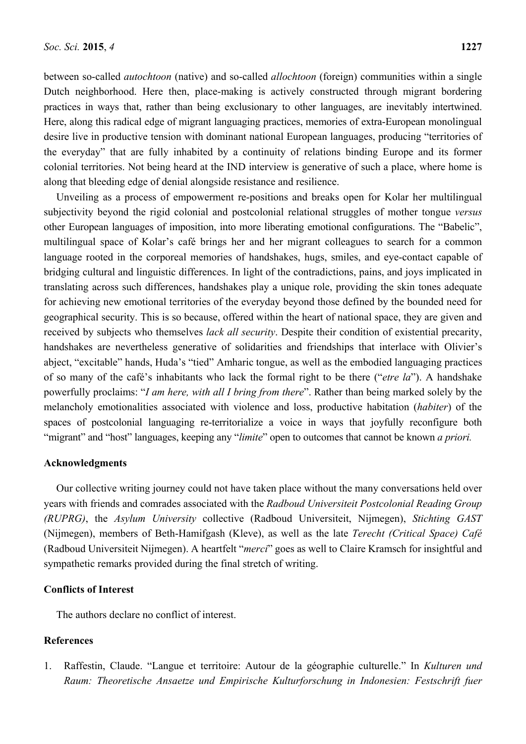between so-called *autochtoon* (native) and so-called *allochtoon* (foreign) communities within a single Dutch neighborhood. Here then, place-making is actively constructed through migrant bordering practices in ways that, rather than being exclusionary to other languages, are inevitably intertwined. Here, along this radical edge of migrant languaging practices, memories of extra-European monolingual desire live in productive tension with dominant national European languages, producing "territories of the everyday" that are fully inhabited by a continuity of relations binding Europe and its former colonial territories. Not being heard at the IND interview is generative of such a place, where home is along that bleeding edge of denial alongside resistance and resilience.

Unveiling as a process of empowerment re-positions and breaks open for Kolar her multilingual subjectivity beyond the rigid colonial and postcolonial relational struggles of mother tongue *versus* other European languages of imposition, into more liberating emotional configurations. The "Babelic", multilingual space of Kolar's café brings her and her migrant colleagues to search for a common language rooted in the corporeal memories of handshakes, hugs, smiles, and eye-contact capable of bridging cultural and linguistic differences. In light of the contradictions, pains, and joys implicated in translating across such differences, handshakes play a unique role, providing the skin tones adequate for achieving new emotional territories of the everyday beyond those defined by the bounded need for geographical security. This is so because, offered within the heart of national space, they are given and received by subjects who themselves *lack all security*. Despite their condition of existential precarity, handshakes are nevertheless generative of solidarities and friendships that interlace with Olivier's abject, "excitable" hands, Huda's "tied" Amharic tongue, as well as the embodied languaging practices of so many of the café's inhabitants who lack the formal right to be there ("*etre la*"). A handshake powerfully proclaims: "*I am here, with all I bring from there*". Rather than being marked solely by the melancholy emotionalities associated with violence and loss, productive habitation (*habiter*) of the spaces of postcolonial languaging re-territorialize a voice in ways that joyfully reconfigure both "migrant" and "host" languages, keeping any "*limite*" open to outcomes that cannot be known *a priori.*

#### **Acknowledgments**

Our collective writing journey could not have taken place without the many conversations held over years with friends and comrades associated with the *Radboud Universiteit Postcolonial Reading Group (RUPRG)*, the *Asylum University* collective (Radboud Universiteit, Nijmegen), *Stichting GAST* (Nijmegen), members of Beth-Hamifgash (Kleve), as well as the late *Terecht (Critical Space) Café* (Radboud Universiteit Nijmegen). A heartfelt "*merci*" goes as well to Claire Kramsch for insightful and sympathetic remarks provided during the final stretch of writing.

## **Conflicts of Interest**

The authors declare no conflict of interest.

#### **References**

1. Raffestin, Claude. "Langue et territoire: Autour de la géographie culturelle." In *Kulturen und Raum: Theoretische Ansaetze und Empirische Kulturforschung in Indonesien: Festschrift fuer*